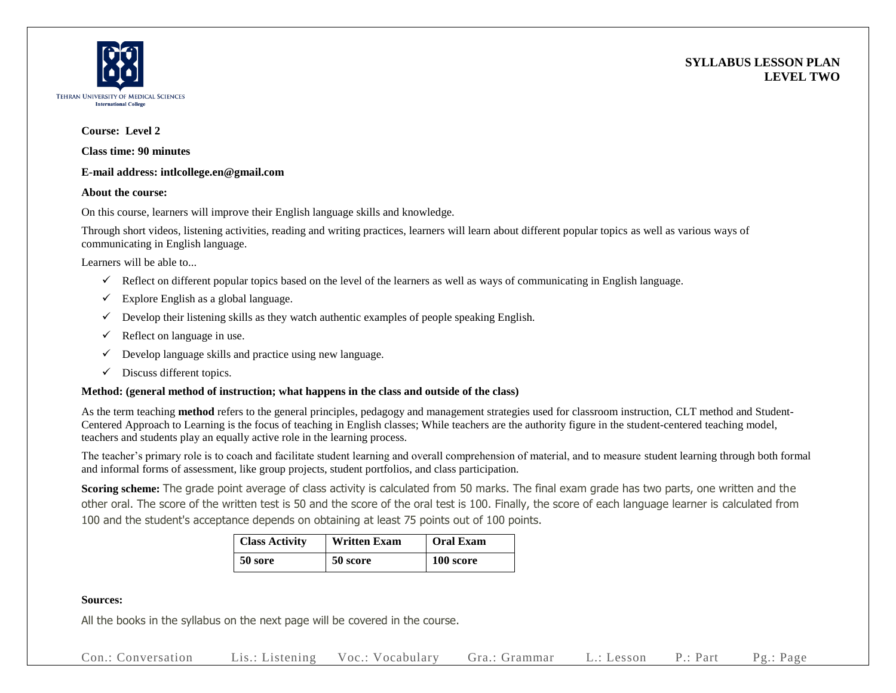



#### **Course: Level 2**

**Class time: 90 minutes**

#### **E-mail address: intlcollege.en@gmail.com**

#### **About the course:**

On this course, learners will improve their English language skills and knowledge.

Through short videos, listening activities, reading and writing practices, learners will learn about different popular topics as well as various ways of communicating in English language.

Learners will be able to...

- $\checkmark$  Reflect on different popular topics based on the level of the learners as well as ways of communicating in English language.
- $\checkmark$  Explore English as a global language.
- $\checkmark$  Develop their listening skills as they watch authentic examples of people speaking English.
- $\checkmark$  Reflect on language in use.
- $\checkmark$  Develop language skills and practice using new language.
- $\checkmark$  Discuss different topics.

## **Method: (general method of instruction; what happens in the class and outside of the class)**

As the term teaching **method** refers to the general principles, pedagogy and management strategies used for classroom instruction, CLT method and Student-Centered Approach to Learning is the focus of teaching in English classes; While teachers are the authority figure in the student-centered teaching model, teachers and students play an equally active role in the learning process.

The teacher's primary role is to coach and facilitate student learning and overall comprehension of material, and to measure student learning through both formal and informal forms of assessment, like group projects, student portfolios, and class participation.

**Scoring scheme:** The grade point average of class activity is calculated from 50 marks. The final exam grade has two parts, one written and the other oral. The score of the written test is 50 and the score of the oral test is 100. Finally, the score of each language learner is calculated from 100 and the student's acceptance depends on obtaining at least 75 points out of 100 points.

| <b>Class Activity</b> | <b>Written Exam</b> | <b>Oral Exam</b> |  |
|-----------------------|---------------------|------------------|--|
| 50 sore               | 50 score            | 100 score        |  |

## **Sources:**

All the books in the syllabus on the next page will be covered in the course.

Con.: Conversation Lis.: Listening Voc.: Vocabulary Gra.: Grammar L.: Lesson P.: Part Pg.: Page